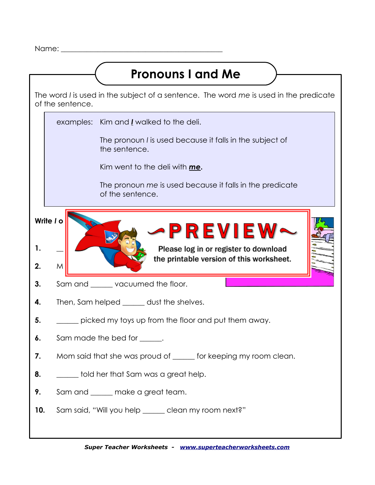Name:  $\blacksquare$